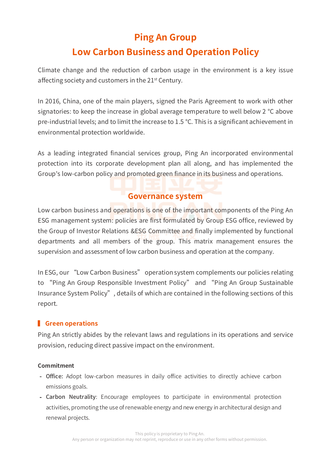# **Ping An Group**

# **Low Carbon Business and Operation Policy**

Climate change and the reduction of carbon usage in the environment is a key issue affecting society and customers in the 21<sup>st</sup> Century.

In 2016, China, one of the main players, signed the Paris Agreement to work with other signatories: to keep the increase in global average temperature to well below 2 °C above pre-industrial levels; and to limit the increase to 1.5 °C. This is a significant achievement in environmental protection worldwide.

As a leading integrated financial services group, Ping An incorporated environmental protection into its corporate development plan all along, and has implemented the Group's low-carbon policy and promoted green finance in its business and operations.

## **Governance system**

Low carbon business and operations is one of the important components of the Ping An ESG management system: policies are first formulated by Group ESG office, reviewed by the Group of Investor Relations &ESG Committee and finally implemented by functional departments and all members of the group. This matrix management ensures the supervision and assessment of low carbon business and operation at the company.

In ESG, our "Low Carbon Business" operation system complements our policies relating to "Ping An Group Responsible Investment Policy" and "Ping An Group Sustainable Insurance System Policy", details of which are contained in the following sections of this report.

## **K** Green operations

Ping An strictly abides by the relevant laws and regulations in its operations and service provision, reducing direct passive impact on the environment.

### **Commitment**

- Office: Adopt low-carbon measures in daily office activities to directly achieve carbon emissions goals.
- Carbon Neutrality: Encourage employees to participate in environmental protection activities, promoting the use of renewable energy and new energy in architectural design and renewal projects.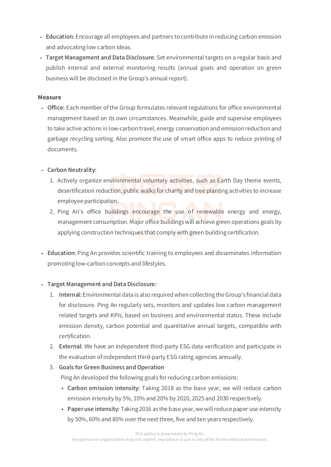- Education: Encourage all employees and partners to contribute in reducing carbon emission and advocating low carbon ideas.
- Target Management and Data Disclosure: Set environmental targets on a regular basis and publish internal and external monitoring results (annual goals and operation on green business will be disclosed in the Group's annual report).

#### **Measure**

- Office: Each member of the Group formulates relevant regulations for office environmental management based on its own circumstances. Meanwhile, guide and supervise employees to take active actions in low-carbon travel, energy conservation and emission reduction and garbage recycling sorting. Also promote the use of smart office apps to reduce printing of documents.

### - Carbon Neutrality:

- 1. Actively organize environmental voluntary activities, such as Earth Day theme events, desertification reduction, public walks for charity and tree planting activities to increase employee participation.
- 2. Ping An's office buildings encourage the use of renewable energy and energy, management consumption. Major office buildings will achieve green operations goals by applying construction techniques that comply with green building certification.
- Education: Ping An provides scientific training to employees and disseminates information promoting low-carbon concepts and lifestyles.

### - Target Management and Data Disclosure:

- 1. Internal: Environmental data is also required when collecting the Group's financial data for disclosure. Ping An regularly sets, monitors and updates low carbon management related targets and KPIs, based on business and environmental status. These include emission density, carbon potential and quantitative annual targets, compatible with certification.
- 2. External: We have an independent third-party ESG data verification and participate in the evaluation of independent third-party ESG rating agencies annually.

### 3. Goals for Green Business and Operation

Ping An developed the following goals for reducing carbon emissions:

- Carbon emission intensity: Taking 2018 as the base year, we will reduce carbon emission intensity by 5%, 10% and 20% by 2020, 2025 and 2030 respectively.
- Paper use intensity: Taking 2016 as the base year, we will reduce paper use intensity by 50%, 60% and 80% over the next three, five and ten years respectively.